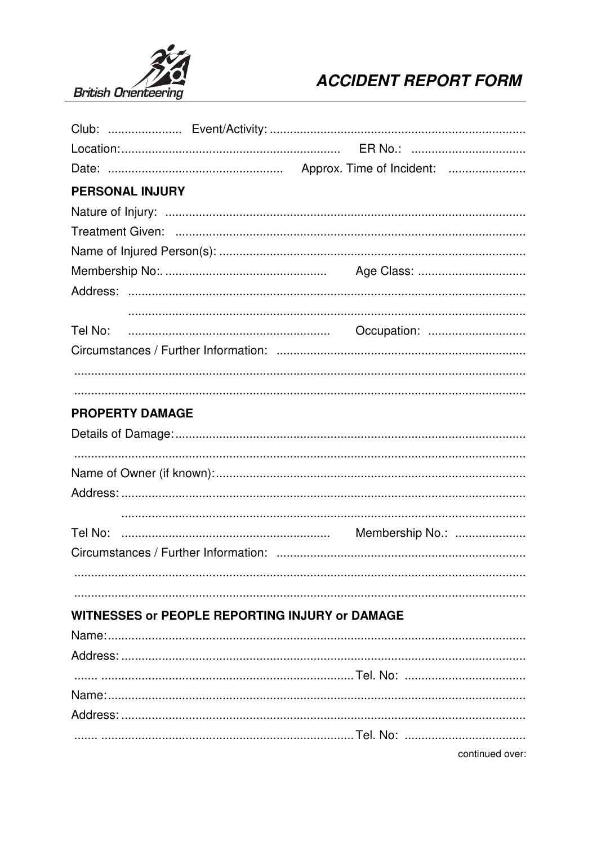

## **ACCIDENT REPORT FORM**

| <b>PERSONAL INJURY</b>                                |                 |  |
|-------------------------------------------------------|-----------------|--|
|                                                       |                 |  |
|                                                       |                 |  |
|                                                       |                 |  |
|                                                       |                 |  |
|                                                       |                 |  |
|                                                       |                 |  |
| Tel No:                                               | Occupation:     |  |
|                                                       |                 |  |
|                                                       |                 |  |
|                                                       |                 |  |
| <b>PROPERTY DAMAGE</b>                                |                 |  |
|                                                       |                 |  |
|                                                       |                 |  |
|                                                       |                 |  |
|                                                       |                 |  |
|                                                       |                 |  |
|                                                       |                 |  |
|                                                       |                 |  |
|                                                       |                 |  |
|                                                       |                 |  |
| <b>WITNESSES or PEOPLE REPORTING INJURY or DAMAGE</b> |                 |  |
|                                                       |                 |  |
|                                                       |                 |  |
|                                                       |                 |  |
|                                                       |                 |  |
|                                                       |                 |  |
|                                                       |                 |  |
|                                                       | continued over: |  |